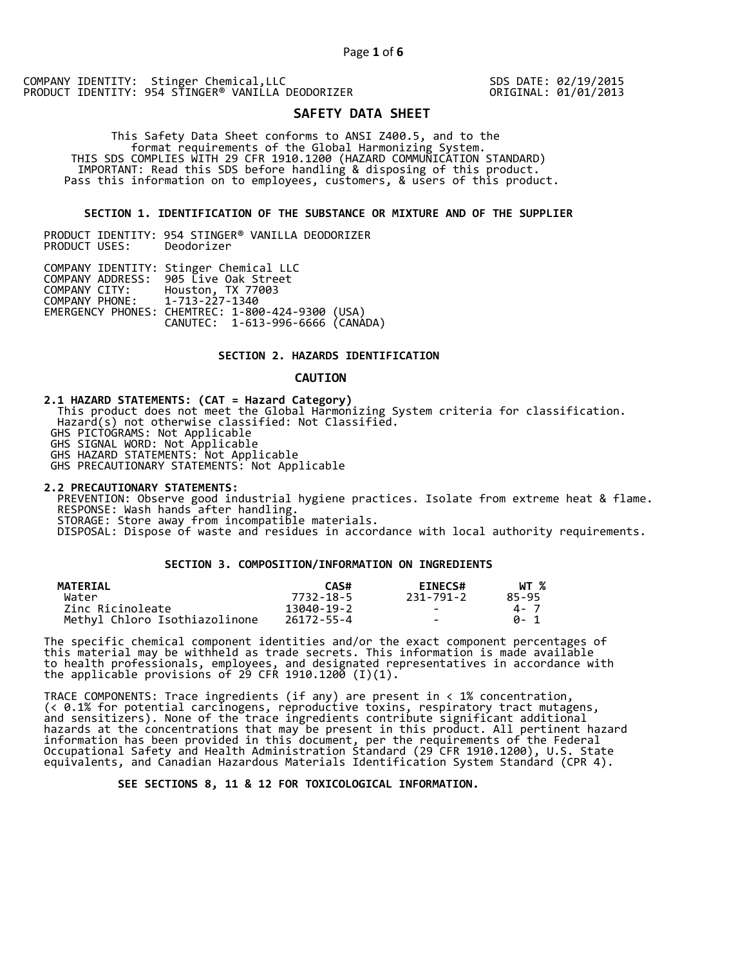SDS DATE: 02/19/2015 ORIGINAL: 01/01/2013

# **SAFETY DATA SHEET**

 This Safety Data Sheet conforms to ANSI Z400.5, and to the format requirements of the Global Harmonizing System. THIS SDS COMPLIES WITH 29 CFR 1910.1200 (HAZARD COMMUNICATION STANDARD) IMPORTANT: Read this SDS before handling & disposing of this product. Pass this information on to employees, customers, & users of this product.

# **SECTION 1. IDENTIFICATION OF THE SUBSTANCE OR MIXTURE AND OF THE SUPPLIER**

PRODUCT IDENTITY: 954 STINGER® VANILLA DEODORIZER PRODUCT USES:

|                               | COMPANY IDENTITY: Stinger Chemical LLC           |  |
|-------------------------------|--------------------------------------------------|--|
|                               | COMPANY ADDRESS: 905 Live Oak Street             |  |
| COMPANY CITY:                 | Houston, TX 77003                                |  |
| COMPANY PHONE: 1-713-227-1340 |                                                  |  |
|                               | EMERGENCY PHONES: CHEMTREC: 1-800-424-9300 (USA) |  |
|                               | CANUTEC: 1-613-996-6666 (CANADA)                 |  |

# **SECTION 2. HAZARDS IDENTIFICATION**

#### **CAUTION**

**2.1 HAZARD STATEMENTS: (CAT = Hazard Category)** This product does not meet the Global Harmonizing System criteria for classification. Hazard(s) not otherwise classified: Not Classified. GHS PICTOGRAMS: Not Applicable GHS SIGNAL WORD: Not Applicable GHS HAZARD STATEMENTS: Not Applicable GHS PRECAUTIONARY STATEMENTS: Not Applicable

**2.2 PRECAUTIONARY STATEMENTS:**  PREVENTION: Observe good industrial hygiene practices. Isolate from extreme heat & flame. RESPONSE: Wash hands after handling. STORAGE: Store away from incompatible materials. DISPOSAL: Dispose of waste and residues in accordance with local authority requirements.

# **SECTION 3. COMPOSITION/INFORMATION ON INGREDIENTS**

| <b>MATERIAL</b>               | CAS#       | <b>EINECS#</b> | WT %  |
|-------------------------------|------------|----------------|-------|
| Water                         | 7732-18-5  | 231-791-2      | 85-95 |
| Zinc Ricinoleate              | 13040-19-2 | $\sim$         | 4 - 7 |
| Methyl Chloro Isothiazolinone | 26172-55-4 | $\sim$         | A- 1  |

The specific chemical component identities and/or the exact component percentages of this material may be withheld as trade secrets. This information is made available to health professionals, employees, and designated representatives in accordance with the applicable provisions of 29 CFR 1910.1200̄ (I)(1).  $\overline{\phantom{a}}$ 

TRACE COMPONENTS: Trace ingredients (if any) are present in < 1% concentration, (< 0.1% for potential carcinogens, reproductive toxins, respiratory tract mutagens, and sensitizers). None of the trace ingredients contribute significant additional hazards at the concentrations that may be present in this product. All pertinent hazard information has been provided in this document, per the requirements of the Federal Occupational Safety and Health Administration Standard (29 CFR 1910.1200), U.S. State equivalents, and Canadian Hazardous Materials Identification System Standard (CPR 4).

 **SEE SECTIONS 8, 11 & 12 FOR TOXICOLOGICAL INFORMATION.**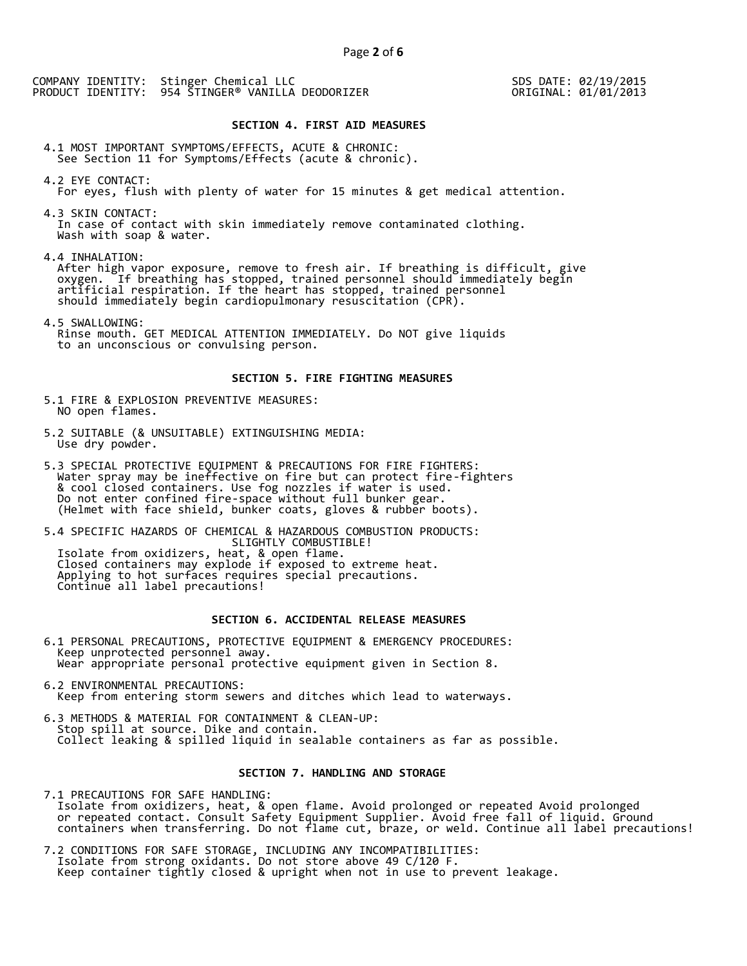SDS DATE: 02/19/2015 ORIGINAL: 01/01/2013

#### **SECTION 4. FIRST AID MEASURES**

4.1 MOST IMPORTANT SYMPTOMS/EFFECTS, ACUTE & CHRONIC: See Section 11 for Symptoms/Effects (acute & chronic).

4.2 EYE CONTACT: For eyes, flush with plenty of water for 15 minutes & get medical attention.

4.3 SKIN CONTACT: In case of contact with skin immediately remove contaminated clothing. Wash with soap & water.

4.4 INHALATION:

 After high vapor exposure, remove to fresh air. If breathing is difficult, give oxygen. If breathing has stopped, trained personnel should immediately begin artificial respiration. If the heart has stopped, trained personnel should immediately begin cardiopulmonary resuscitation (CPR).

4.5 SWALLOWING: Rinse mouth. GET MEDICAL ATTENTION IMMEDIATELY. Do NOT give liquids to an unconscious or convulsing person.

### **SECTION 5. FIRE FIGHTING MEASURES**

5.1 FIRE & EXPLOSION PREVENTIVE MEASURES: NO open flames.

- 5.2 SUITABLE (& UNSUITABLE) EXTINGUISHING MEDIA: Use dry powder.
- 5.3 SPECIAL PROTECTIVE EQUIPMENT & PRECAUTIONS FOR FIRE FIGHTERS: Water spray may be ineffective on fire but can protect fire-fighters & cool closed containers. Use fog nozzles if water is used. Do not enter confined fire-space without full bunker gear. (Helmet with face shield, bunker coats, gloves & rubber boots).

5.4 SPECIFIC HAZARDS OF CHEMICAL & HAZARDOUS COMBUSTION PRODUCTS: SLIGHTLY COMBUSTIBLE! Isolate from oxidizers, heat, & open flame. Closed containers may explode if exposed to extreme heat. Applying to hot surfaces requires special precautions. Continue all label precautions!

# **SECTION 6. ACCIDENTAL RELEASE MEASURES**

- 6.1 PERSONAL PRECAUTIONS, PROTECTIVE EQUIPMENT & EMERGENCY PROCEDURES: Keep unprotected personnel away. Wear appropriate personal protective equipment given in Section 8.
- 6.2 ENVIRONMENTAL PRECAUTIONS: Keep from entering storm sewers and ditches which lead to waterways.
- 6.3 METHODS & MATERIAL FOR CONTAINMENT & CLEAN-UP: Stop spill at source. Dike and contain. Collect leaking & spilled liquid in sealable containers as far as possible.

# **SECTION 7. HANDLING AND STORAGE**

7.1 PRECAUTIONS FOR SAFE HANDLING: Isolate from oxidizers, heat, & open flame. Avoid prolonged or repeated Avoid prolonged or repeated contact. Consult Safety Equipment Supplier. Avoid free fall of liquid. Ground containers when transferring. Do not flame cut, braze, or weld. Continue all label precautions!

7.2 CONDITIONS FOR SAFE STORAGE, INCLUDING ANY INCOMPATIBILITIES: Isolate from strong oxidants. Do not store above 49 C/120 F. Keep container tightly closed & upright when not in use to prevent leakage.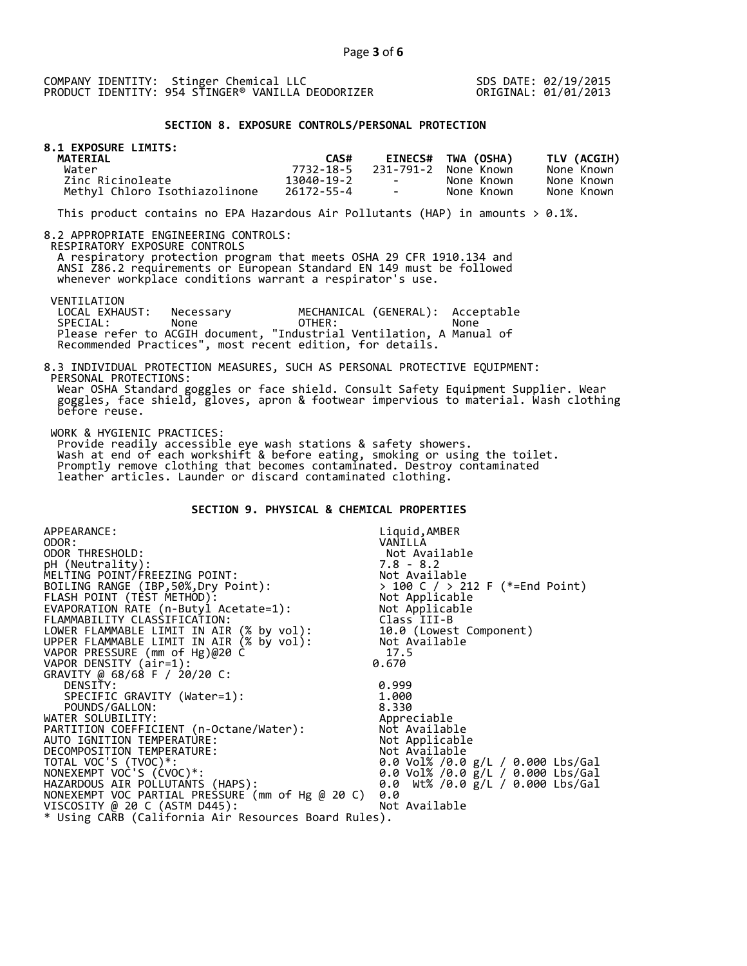SDS DATE: 02/19/2015 ORIGINAL: 01/01/2013

# **SECTION 8. EXPOSURE CONTROLS/PERSONAL PROTECTION**

| <b>8.1 EXPOSURE LIMITS:</b><br><b>MATERIAL</b> | CAS#       |                                   | <b>EINECS# TWA (OSHA)</b> | TLV (ACGIH) |
|------------------------------------------------|------------|-----------------------------------|---------------------------|-------------|
| Water                                          | 7732-18-5  |                                   | 231-791-2 None Known      | None Known  |
| Zinc Ricinoleate                               | 13040-19-2 | <b>Contract Contract Contract</b> | None Known                | None Known  |
| Methyl Chloro Isothiazolinone                  | 26172-55-4 | the control of the con-           | None Known                | None Known  |

This product contains no EPA Hazardous Air Pollutants (HAP) in amounts  $> 0.1\%$ .

#### 8.2 APPROPRIATE ENGINEERING CONTROLS:

RESPIRATORY EXPOSURE CONTROLS

 A respiratory protection program that meets OSHA 29 CFR 1910.134 and ANSI Z86.2 requirements or European Standard EN 149 must be followed whenever workplace conditions warrant a respirator's use.

before reuse.

VENTILATION<br>LOCAL EXHAUST: LOCAL EXHAUST: Necessary MECHANICAL (GENERAL): Acceptable<br>SPECIAL: None OTHER: None SPECIAL: None OTHER: None Please refer to ACGIH document, "Industrial Ventilation, A Manual of Recommended Practices", most recent edition, for details.

#### 8.3 INDIVIDUAL PROTECTION MEASURES, SUCH AS PERSONAL PROTECTIVE EQUIPMENT: PERSONAL PROTECTIONS: Wear OSHA Standard goggles or face shield. Consult Safety Equipment Supplier. Wear goggles, face shield, gloves, apron & footwear impervious to material. Wash clothing

WORK & HYGIENIC PRACTICES:

 Provide readily accessible eye wash stations & safety showers. Wash at end of each workshift & before eating, smoking or using the toilet. Promptly remove clothing that becomes contaminated. Destroy contaminated leather articles. Launder or discard contaminated clothing.

# **SECTION 9. PHYSICAL & CHEMICAL PROPERTIES**

| APPEARANCE:                                          | Liquid, AMBER                                                                    |
|------------------------------------------------------|----------------------------------------------------------------------------------|
| ODOR:                                                | VANILLA                                                                          |
| ODOR THRESHOLD:                                      | Not Available                                                                    |
| pH (Neutrality):                                     |                                                                                  |
| MELTING POINT/FREEZING POINT:                        |                                                                                  |
| BOILING RANGE (IBP, 50%, Dry Point):                 | > 100 C / > 212 F (*=End Point)                                                  |
| FLASH POINT (TÈST METHOD):                           | 7.8 - 8.2<br>Not Available<br>> 100 C / > 212<br>Not Applicable<br>'' Applicable |
| EVAPORATION RATE (n-Butyl Acetate=1):                | Not Applicable                                                                   |
| FLAMMABILITY CLASSIFICATION:                         | Class III-B                                                                      |
| LOWER FLAMMABLE LIMIT IN AIR (% by vol):             | 10.0 (Lowest Component)                                                          |
| UPPER FLAMMABLE LIMIT IN AIR (% by vol):             | Not Available                                                                    |
| VAPOR PRESSURE (mm of Hg)@20 C                       | 17.5                                                                             |
| VAPOR DENSITY (air=1):                               | 0.670                                                                            |
| GRAVITY @ 68/68 F / 20/20 C:                         |                                                                                  |
| DENSITY:                                             | 0.999                                                                            |
| SPECIFIC GRAVITY (Water=1):                          | 1.000                                                                            |
| POUNDS/GALLON:                                       | 8.330                                                                            |
| WATER SOLUBILITY:                                    | Appreciable                                                                      |
| PARTITION COEFFICIENT (n-Octane/Water):              | Not Available                                                                    |
| AUTO IGNITION TEMPERATURE:                           | Not Applicable                                                                   |
| DECOMPOSITION TEMPERATURE:                           | Not Available                                                                    |
| TOTAL VOC'S (TVOC)*:                                 | 0.0 Vol% /0.0 g/L / 0.000 Lbs/Gal                                                |
| NONEXEMPT VOC'S (CVOC)*:                             | 0.0 Vol% /0.0 g/L / 0.000 Lbs/Gal                                                |
| HAZARDOUS AIR POLLUTANTS (HAPS):                     | 0.0 Wt% /0.0 g/L / 0.000 Lbs/Gal                                                 |
| NONEXEMPT VOC PARTIAL PRESSURE (mm of Hg @ 20 C)     | 0.0                                                                              |
| VISCOSITY @ 20 C (ASTM D445):                        | Not Available                                                                    |
| * Using CARB (California Air Resources Board Rules). |                                                                                  |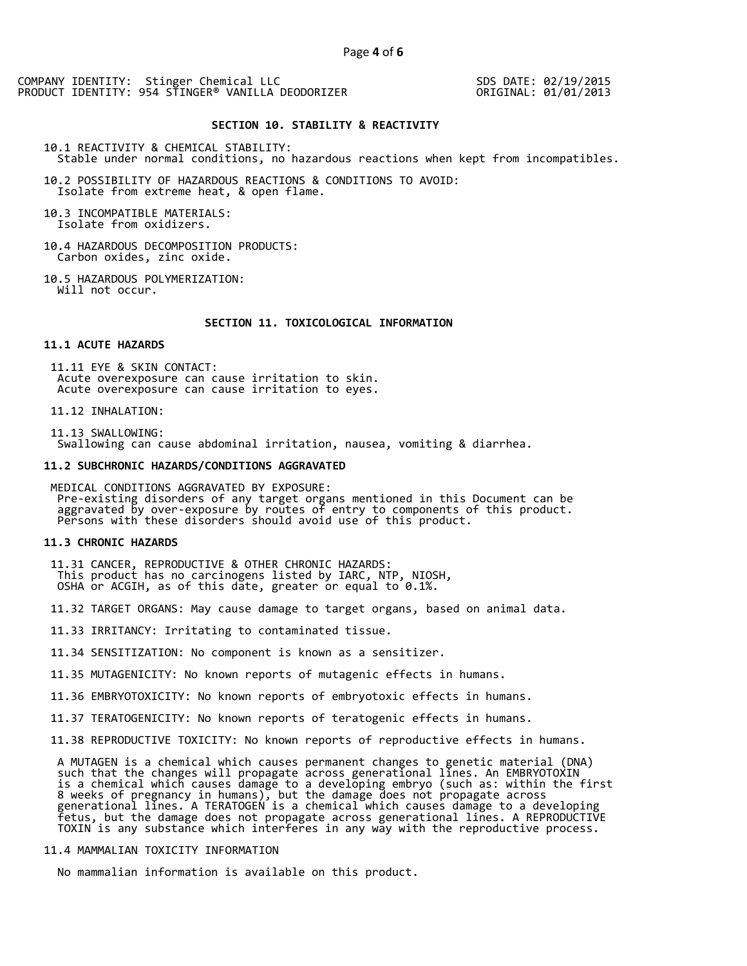SDS DATE: 02/19/2015 ORIGINAL: 01/01/2013

#### **SECTION 10. STABILITY & REACTIVITY**

10.1 REACTIVITY & CHEMICAL STABILITY: Stable under normal conditions, no hazardous reactions when kept from incompatibles.

10.2 POSSIBILITY OF HAZARDOUS REACTIONS & CONDITIONS TO AVOID: Isolate from extreme heat, & open flame.

10.3 INCOMPATIBLE MATERIALS: Isolate from oxidizers.

10.4 HAZARDOUS DECOMPOSITION PRODUCTS: Carbon oxides, zinc oxide.

10.5 HAZARDOUS POLYMERIZATION: Will not occur.

# **SECTION 11. TOXICOLOGICAL INFORMATION**

#### **11.1 ACUTE HAZARDS**

 11.11 EYE & SKIN CONTACT: Acute overexposure can cause irritation to skin. Acute overexposure can cause irritation to eyes.

11.12 INHALATION:

 11.13 SWALLOWING: Swallowing can cause abdominal irritation, nausea, vomiting & diarrhea.

#### **11.2 SUBCHRONIC HAZARDS/CONDITIONS AGGRAVATED**

 MEDICAL CONDITIONS AGGRAVATED BY EXPOSURE: Pre-existing disorders of any target organs mentioned in this Document can be aggravated by over-exposure by routes of entry to components of this product. Persons with these disorders should avoid use of this product.

#### **11.3 CHRONIC HAZARDS**

 11.31 CANCER, REPRODUCTIVE & OTHER CHRONIC HAZARDS: This product has no carcinogens listed by IARC, NTP, NIOSH, OSHA or ACGIH, as of this date, greater or equal to 0.1%.

11.32 TARGET ORGANS: May cause damage to target organs, based on animal data.

11.33 IRRITANCY: Irritating to contaminated tissue.

11.34 SENSITIZATION: No component is known as a sensitizer.

11.35 MUTAGENICITY: No known reports of mutagenic effects in humans.

11.36 EMBRYOTOXICITY: No known reports of embryotoxic effects in humans.

11.37 TERATOGENICITY: No known reports of teratogenic effects in humans.

11.38 REPRODUCTIVE TOXICITY: No known reports of reproductive effects in humans.

 A MUTAGEN is a chemical which causes permanent changes to genetic material (DNA) such that the changes will propagate across generational lines. An EMBRYOTOXIN is a chemical which causes damage to a developing embryo (such as: within the first 8 weeks of pregnancy in humans), but the damage does not propagate across generational lines. A TERATOGEN is a chemical which causes damage to a developing fetus, but the damage does not propagate across generational lines. A REPRODUCTIVE TOXIN is any substance which interferes in any way with the reproductive process.

# 11.4 MAMMALIAN TOXICITY INFORMATION

No mammalian information is available on this product.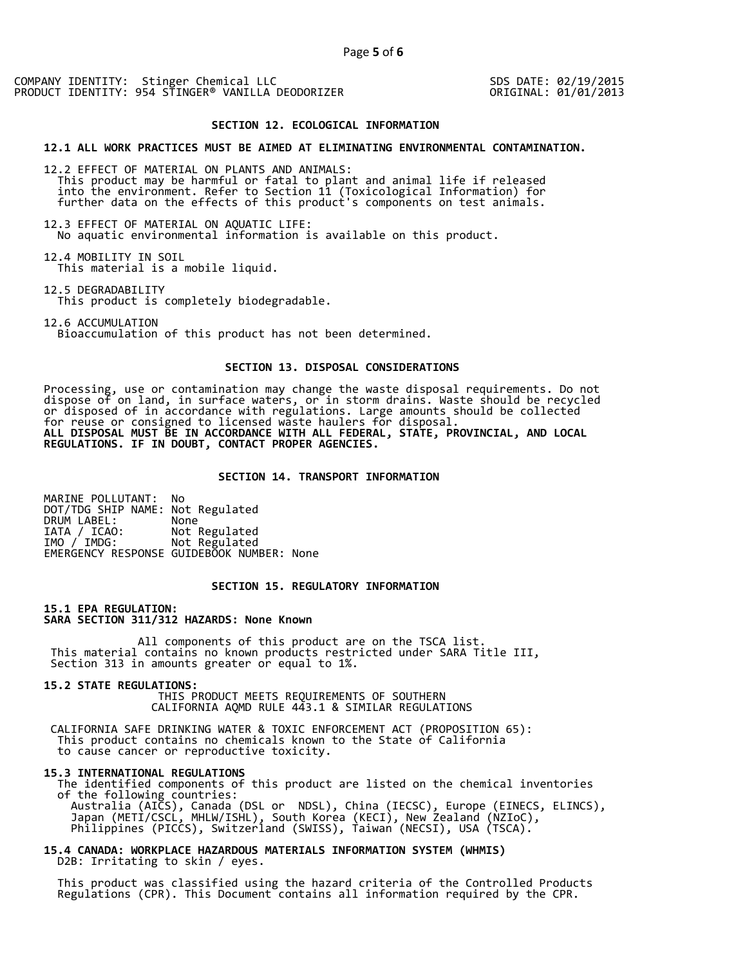SDS DATE: 02/19/2015 ORIGINAL: 01/01/2013

#### **SECTION 12. ECOLOGICAL INFORMATION**

#### **12.1 ALL WORK PRACTICES MUST BE AIMED AT ELIMINATING ENVIRONMENTAL CONTAMINATION.**

12.2 EFFECT OF MATERIAL ON PLANTS AND ANIMALS: This product may be harmful or fatal to plant and animal life if released into the environment. Refer to Section 11 (Toxicological Information) for further data on the effects of this product's components on test animals.

12.3 EFFECT OF MATERIAL ON AQUATIC LIFE: No aquatic environmental information is available on this product.

12.4 MOBILITY IN SOIL This material is a mobile liquid.

12.5 DEGRADABILITY This product is completely biodegradable.

12.6 ACCUMULATION Bioaccumulation of this product has not been determined.

## **SECTION 13. DISPOSAL CONSIDERATIONS**

Processing, use or contamination may change the waste disposal requirements. Do not dispose of on land, in surface waters, or in storm drains. Waste should be recycled or disposed of in accordance with regulations. Large amounts should be collected for reuse or consigned to licensed waste haulers for disposal. **ALL DISPOSAL MUST BE IN ACCORDANCE WITH ALL FEDERAL, STATE, PROVINCIAL, AND LOCAL REGULATIONS. IF IN DOUBT, CONTACT PROPER AGENCIES.** 

## **SECTION 14. TRANSPORT INFORMATION**

MARINE POLLUTANT: No DOT/TDG SHIP NAME: Not Regulated DRUM LABEL:<br>IATA / ICAO: IATA / ICAO: Not Regulated<br>IMO / IMDG: Not Regulated Not Regulated EMERGENCY RESPONSE GUIDEBOOK NUMBER: None

# **SECTION 15. REGULATORY INFORMATION**

**15.1 EPA REGULATION: SARA SECTION 311/312 HAZARDS: None Known** 

All components of this product are on the TSCA list. This material contains no known products restricted under SARA Title III, Section 313 in amounts greater or equal to 1%.

**15.2 STATE REGULATIONS:**

 THIS PRODUCT MEETS REQUIREMENTS OF SOUTHERN CALIFORNIA AQMD RULE 443.1 & SIMILAR REGULATIONS

 CALIFORNIA SAFE DRINKING WATER & TOXIC ENFORCEMENT ACT (PROPOSITION 65): This product contains no chemicals known to the State of California to cause cancer or reproductive toxicity.

#### **15.3 INTERNATIONAL REGULATIONS**

 The identified components of this product are listed on the chemical inventories of the following countries: Australia (AICS), Canada (DSL or NDSL), China (IECSC), Europe (EINECS, ELINCS), Japan (METI/CSCL, MHLW/ISHL), South Korea (KECI), New Zealand (NZIoC), Philippines (PICCS), Switzerland (SWISS), Taiwan (NECSI), USA (TSCA).

**15.4 CANADA: WORKPLACE HAZARDOUS MATERIALS INFORMATION SYSTEM (WHMIS)**  D2B: Irritating to skin / eyes.

 This product was classified using the hazard criteria of the Controlled Products Regulations (CPR). This Document contains all information required by the CPR.